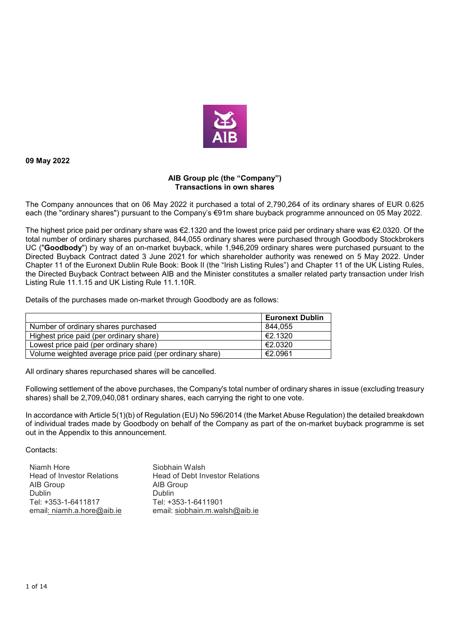

**09 May 2022** 

## **AIB Group plc (the "Company") Transactions in own shares**

The Company announces that on 06 May 2022 it purchased a total of 2,790,264 of its ordinary shares of EUR 0.625 each (the "ordinary shares") pursuant to the Company's €91m share buyback programme announced on 05 May 2022.

The highest price paid per ordinary share was €2.1320 and the lowest price paid per ordinary share was €2.0320. Of the total number of ordinary shares purchased, 844,055 ordinary shares were purchased through Goodbody Stockbrokers UC ("**Goodbody**") by way of an on-market buyback, while 1,946,209 ordinary shares were purchased pursuant to the Directed Buyback Contract dated 3 June 2021 for which shareholder authority was renewed on 5 May 2022. Under Chapter 11 of the Euronext Dublin Rule Book: Book II (the "Irish Listing Rules") and Chapter 11 of the UK Listing Rules, the Directed Buyback Contract between AIB and the Minister constitutes a smaller related party transaction under Irish Listing Rule 11.1.15 and UK Listing Rule 11.1.10R.

Details of the purchases made on-market through Goodbody are as follows:

|                                                         | <b>Euronext Dublin</b> |
|---------------------------------------------------------|------------------------|
| Number of ordinary shares purchased                     | 844.055                |
| Highest price paid (per ordinary share)                 | €2.1320                |
| Lowest price paid (per ordinary share)                  | €2.0320                |
| Volume weighted average price paid (per ordinary share) | €2.0961                |

All ordinary shares repurchased shares will be cancelled.

Following settlement of the above purchases, the Company's total number of ordinary shares in issue (excluding treasury shares) shall be 2,709,040,081 ordinary shares, each carrying the right to one vote.

In accordance with Article 5(1)(b) of Regulation (EU) No 596/2014 (the Market Abuse Regulation) the detailed breakdown of individual trades made by Goodbody on behalf of the Company as part of the on-market buyback programme is set out in the Appendix to this announcement.

Contacts:

| Niamh Hore                        | Siobhain Walsh                         |
|-----------------------------------|----------------------------------------|
| <b>Head of Investor Relations</b> | <b>Head of Debt Investor Relations</b> |
| AIB Group                         | AIB Group                              |
| <b>Dublin</b>                     | <b>Dublin</b>                          |
| Tel: +353-1-6411817               | Tel: +353-1-6411901                    |
| email: niamh.a.hore@aib.ie        | email: siobhain.m.walsh@aib.ie         |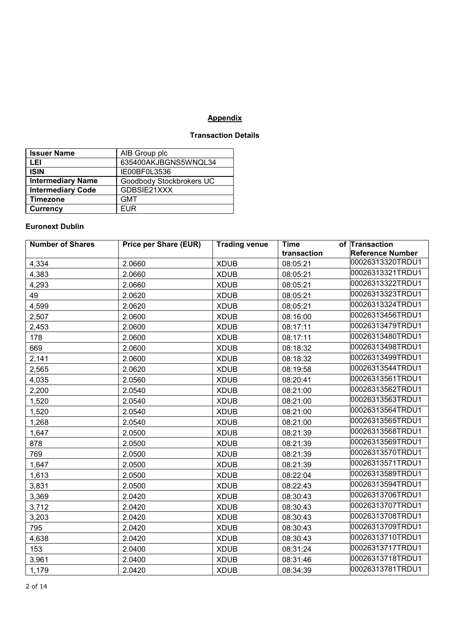## **Appendix**

## **Transaction Details**

| <b>Issuer Name</b>       | AIB Group plc            |
|--------------------------|--------------------------|
| LEI                      | 635400AKJBGNS5WNQL34     |
| <b>ISIN</b>              | IE00BF0L3536             |
| <b>Intermediary Name</b> | Goodbody Stockbrokers UC |
| <b>Intermediary Code</b> | GDBSIE21XXX              |
| <b>Timezone</b>          | <b>GMT</b>               |
| <b>Currency</b>          | <b>EUR</b>               |

## **Euronext Dublin**

| <b>Number of Shares</b> | <b>Price per Share (EUR)</b> | <b>Trading venue</b> | <b>Time</b> | of Transaction          |
|-------------------------|------------------------------|----------------------|-------------|-------------------------|
|                         |                              |                      | transaction | <b>Reference Number</b> |
| 4,334                   | 2.0660                       | <b>XDUB</b>          | 08:05:21    | 00026313320TRDU1        |
| 4,383                   | 2.0660                       | <b>XDUB</b>          | 08:05:21    | 00026313321TRDU1        |
| 4,293                   | 2.0660                       | <b>XDUB</b>          | 08:05:21    | 00026313322TRDU1        |
| 49                      | 2.0620                       | <b>XDUB</b>          | 08:05:21    | 00026313323TRDU1        |
| 4,599                   | 2.0620                       | <b>XDUB</b>          | 08:05:21    | 00026313324TRDU1        |
| 2,507                   | 2.0600                       | <b>XDUB</b>          | 08:16:00    | 00026313456TRDU1        |
| 2,453                   | 2.0600                       | <b>XDUB</b>          | 08:17:11    | 00026313479TRDU1        |
| 178                     | 2.0600                       | <b>XDUB</b>          | 08:17:11    | 00026313480TRDU1        |
| 669                     | 2.0600                       | <b>XDUB</b>          | 08:18:32    | 00026313498TRDU1        |
| 2,141                   | 2.0600                       | <b>XDUB</b>          | 08:18:32    | 00026313499TRDU1        |
| 2,565                   | 2.0620                       | <b>XDUB</b>          | 08:19:58    | 00026313544TRDU1        |
| 4,035                   | 2.0560                       | <b>XDUB</b>          | 08:20:41    | 00026313561TRDU1        |
| 2,200                   | 2.0540                       | <b>XDUB</b>          | 08:21:00    | 00026313562TRDU1        |
| 1,520                   | 2.0540                       | <b>XDUB</b>          | 08:21:00    | 00026313563TRDU1        |
| 1,520                   | 2.0540                       | <b>XDUB</b>          | 08:21:00    | 00026313564TRDU1        |
| 1,268                   | 2.0540                       | <b>XDUB</b>          | 08:21:00    | 00026313565TRDU1        |
| 1,647                   | 2.0500                       | <b>XDUB</b>          | 08:21:39    | 00026313568TRDU1        |
| 878                     | 2.0500                       | <b>XDUB</b>          | 08:21:39    | 00026313569TRDU1        |
| 769                     | 2.0500                       | <b>XDUB</b>          | 08:21:39    | 00026313570TRDU1        |
| 1,647                   | 2.0500                       | <b>XDUB</b>          | 08:21:39    | 00026313571TRDU1        |
| 1,613                   | 2.0500                       | <b>XDUB</b>          | 08:22:04    | 00026313589TRDU1        |
| 3,831                   | 2.0500                       | <b>XDUB</b>          | 08:22:43    | 00026313594TRDU1        |
| 3,369                   | 2.0420                       | <b>XDUB</b>          | 08:30:43    | 00026313706TRDU1        |
| 3,712                   | 2.0420                       | <b>XDUB</b>          | 08:30:43    | 00026313707TRDU1        |
| 3,203                   | 2.0420                       | <b>XDUB</b>          | 08:30:43    | 00026313708TRDU1        |
| 795                     | 2.0420                       | <b>XDUB</b>          | 08:30:43    | 00026313709TRDU1        |
| 4,638                   | 2.0420                       | <b>XDUB</b>          | 08:30:43    | 00026313710TRDU1        |
| 153                     | 2.0400                       | <b>XDUB</b>          | 08:31:24    | 00026313717TRDU1        |
| 3,961                   | 2.0400                       | <b>XDUB</b>          | 08:31:46    | 00026313718TRDU1        |
| 1,179                   | 2.0420                       | <b>XDUB</b>          | 08:34:39    | 00026313781TRDU1        |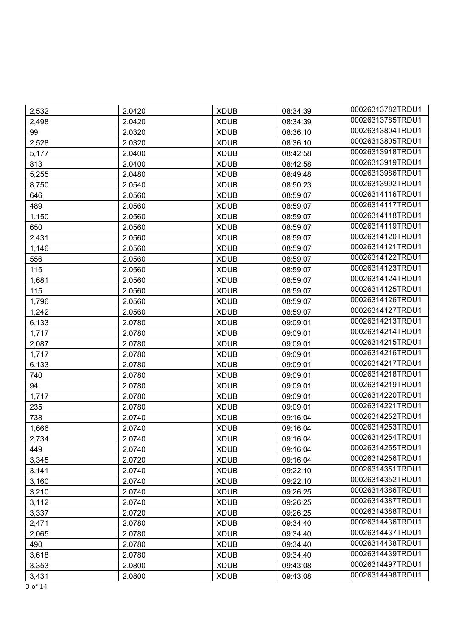| 2,532 | 2.0420 | <b>XDUB</b> | 08:34:39 | 00026313782TRDU1 |
|-------|--------|-------------|----------|------------------|
| 2,498 | 2.0420 | <b>XDUB</b> | 08:34:39 | 00026313785TRDU1 |
| 99    | 2.0320 | <b>XDUB</b> | 08:36:10 | 00026313804TRDU1 |
| 2,528 | 2.0320 | <b>XDUB</b> | 08:36:10 | 00026313805TRDU1 |
| 5,177 | 2.0400 | <b>XDUB</b> | 08:42:58 | 00026313918TRDU1 |
| 813   | 2.0400 | <b>XDUB</b> | 08:42:58 | 00026313919TRDU1 |
| 5,255 | 2.0480 | <b>XDUB</b> | 08:49:48 | 00026313986TRDU1 |
| 8,750 | 2.0540 | <b>XDUB</b> | 08:50:23 | 00026313992TRDU1 |
| 646   | 2.0560 | <b>XDUB</b> | 08:59:07 | 00026314116TRDU1 |
| 489   | 2.0560 | <b>XDUB</b> | 08:59:07 | 00026314117TRDU1 |
| 1,150 | 2.0560 | <b>XDUB</b> | 08:59:07 | 00026314118TRDU1 |
| 650   | 2.0560 | <b>XDUB</b> | 08:59:07 | 00026314119TRDU1 |
| 2,431 | 2.0560 | <b>XDUB</b> | 08:59:07 | 00026314120TRDU1 |
| 1,146 | 2.0560 | <b>XDUB</b> | 08:59:07 | 00026314121TRDU1 |
| 556   | 2.0560 | <b>XDUB</b> | 08:59:07 | 00026314122TRDU1 |
| 115   | 2.0560 | <b>XDUB</b> | 08:59:07 | 00026314123TRDU1 |
| 1,681 | 2.0560 | <b>XDUB</b> | 08:59:07 | 00026314124TRDU1 |
| 115   | 2.0560 | <b>XDUB</b> | 08:59:07 | 00026314125TRDU1 |
| 1,796 | 2.0560 | <b>XDUB</b> | 08:59:07 | 00026314126TRDU1 |
| 1,242 | 2.0560 | <b>XDUB</b> | 08:59:07 | 00026314127TRDU1 |
| 6,133 | 2.0780 | <b>XDUB</b> | 09:09:01 | 00026314213TRDU1 |
| 1,717 | 2.0780 | <b>XDUB</b> | 09:09:01 | 00026314214TRDU1 |
| 2,087 | 2.0780 | <b>XDUB</b> | 09:09:01 | 00026314215TRDU1 |
| 1,717 | 2.0780 | <b>XDUB</b> | 09:09:01 | 00026314216TRDU1 |
| 6,133 | 2.0780 | <b>XDUB</b> | 09:09:01 | 00026314217TRDU1 |
| 740   | 2.0780 | <b>XDUB</b> | 09:09:01 | 00026314218TRDU1 |
| 94    | 2.0780 | <b>XDUB</b> | 09:09:01 | 00026314219TRDU1 |
| 1,717 | 2.0780 | <b>XDUB</b> | 09:09:01 | 00026314220TRDU1 |
| 235   | 2.0780 | <b>XDUB</b> | 09:09:01 | 00026314221TRDU1 |
| 738   | 2.0740 | <b>XDUB</b> | 09:16:04 | 00026314252TRDU1 |
| 1,666 | 2.0740 | <b>XDUB</b> | 09:16:04 | 00026314253TRDU1 |
| 2,734 | 2.0740 | <b>XDUB</b> | 09:16:04 | 00026314254TRDU1 |
| 449   | 2.0740 | <b>XDUB</b> | 09:16:04 | 00026314255TRDU1 |
| 3,345 | 2.0720 | <b>XDUB</b> | 09:16:04 | 00026314256TRDU1 |
| 3,141 | 2.0740 | <b>XDUB</b> | 09:22:10 | 00026314351TRDU1 |
| 3,160 | 2.0740 | <b>XDUB</b> | 09:22:10 | 00026314352TRDU1 |
| 3,210 | 2.0740 | <b>XDUB</b> | 09:26:25 | 00026314386TRDU1 |
| 3,112 | 2.0740 | <b>XDUB</b> | 09:26:25 | 00026314387TRDU1 |
| 3,337 | 2.0720 | <b>XDUB</b> | 09:26:25 | 00026314388TRDU1 |
| 2,471 | 2.0780 | <b>XDUB</b> | 09:34:40 | 00026314436TRDU1 |
| 2,065 | 2.0780 | <b>XDUB</b> | 09:34:40 | 00026314437TRDU1 |
| 490   | 2.0780 | <b>XDUB</b> | 09:34:40 | 00026314438TRDU1 |
| 3,618 | 2.0780 | <b>XDUB</b> | 09:34:40 | 00026314439TRDU1 |
| 3,353 | 2.0800 | <b>XDUB</b> | 09:43:08 | 00026314497TRDU1 |
| 3,431 | 2.0800 | <b>XDUB</b> | 09:43:08 | 00026314498TRDU1 |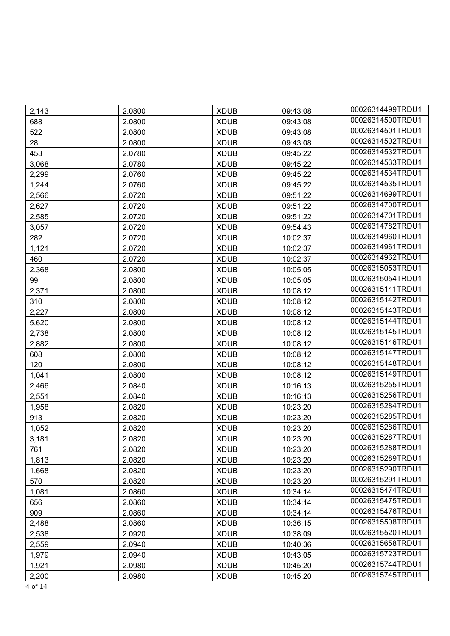| 2,143 | 2.0800 | <b>XDUB</b> | 09:43:08 | 00026314499TRDU1 |
|-------|--------|-------------|----------|------------------|
| 688   | 2.0800 | <b>XDUB</b> | 09:43:08 | 00026314500TRDU1 |
| 522   | 2.0800 | <b>XDUB</b> | 09:43:08 | 00026314501TRDU1 |
| 28    | 2.0800 | <b>XDUB</b> | 09:43:08 | 00026314502TRDU1 |
| 453   | 2.0780 | <b>XDUB</b> | 09:45:22 | 00026314532TRDU1 |
| 3,068 | 2.0780 | <b>XDUB</b> | 09:45:22 | 00026314533TRDU1 |
| 2,299 | 2.0760 | <b>XDUB</b> | 09:45:22 | 00026314534TRDU1 |
| 1,244 | 2.0760 | <b>XDUB</b> | 09:45:22 | 00026314535TRDU1 |
| 2,566 | 2.0720 | <b>XDUB</b> | 09:51:22 | 00026314699TRDU1 |
| 2,627 | 2.0720 | <b>XDUB</b> | 09:51:22 | 00026314700TRDU1 |
| 2,585 | 2.0720 | <b>XDUB</b> | 09:51:22 | 00026314701TRDU1 |
| 3,057 | 2.0720 | <b>XDUB</b> | 09:54:43 | 00026314782TRDU1 |
| 282   | 2.0720 | <b>XDUB</b> | 10:02:37 | 00026314960TRDU1 |
| 1,121 | 2.0720 | <b>XDUB</b> | 10:02:37 | 00026314961TRDU1 |
| 460   | 2.0720 | <b>XDUB</b> | 10:02:37 | 00026314962TRDU1 |
| 2,368 | 2.0800 | <b>XDUB</b> | 10:05:05 | 00026315053TRDU1 |
| 99    | 2.0800 | <b>XDUB</b> | 10:05:05 | 00026315054TRDU1 |
| 2,371 | 2.0800 | <b>XDUB</b> | 10:08:12 | 00026315141TRDU1 |
| 310   | 2.0800 | <b>XDUB</b> | 10:08:12 | 00026315142TRDU1 |
| 2,227 | 2.0800 | <b>XDUB</b> | 10:08:12 | 00026315143TRDU1 |
| 5,620 | 2.0800 | <b>XDUB</b> | 10:08:12 | 00026315144TRDU1 |
| 2,738 | 2.0800 | <b>XDUB</b> | 10:08:12 | 00026315145TRDU1 |
| 2,882 | 2.0800 | <b>XDUB</b> | 10:08:12 | 00026315146TRDU1 |
| 608   | 2.0800 | <b>XDUB</b> | 10:08:12 | 00026315147TRDU1 |
| 120   | 2.0800 | <b>XDUB</b> | 10:08:12 | 00026315148TRDU1 |
| 1,041 | 2.0800 | <b>XDUB</b> | 10:08:12 | 00026315149TRDU1 |
| 2,466 | 2.0840 | <b>XDUB</b> | 10:16:13 | 00026315255TRDU1 |
| 2,551 | 2.0840 | <b>XDUB</b> | 10:16:13 | 00026315256TRDU1 |
| 1,958 | 2.0820 | <b>XDUB</b> | 10:23:20 | 00026315284TRDU1 |
| 913   | 2.0820 | <b>XDUB</b> | 10:23:20 | 00026315285TRDU1 |
| 1,052 | 2.0820 | <b>XDUB</b> | 10:23:20 | 00026315286TRDU1 |
| 3,181 | 2.0820 | <b>XDUB</b> | 10:23:20 | 00026315287TRDU1 |
| 761   | 2.0820 | <b>XDUB</b> | 10:23:20 | 00026315288TRDU1 |
| 1,813 | 2.0820 | <b>XDUB</b> | 10:23:20 | 00026315289TRDU1 |
| 1,668 | 2.0820 | <b>XDUB</b> | 10:23:20 | 00026315290TRDU1 |
| 570   | 2.0820 | <b>XDUB</b> | 10:23:20 | 00026315291TRDU1 |
| 1,081 | 2.0860 | <b>XDUB</b> | 10:34:14 | 00026315474TRDU1 |
| 656   | 2.0860 | <b>XDUB</b> | 10:34:14 | 00026315475TRDU1 |
| 909   | 2.0860 | <b>XDUB</b> | 10:34:14 | 00026315476TRDU1 |
| 2,488 | 2.0860 | <b>XDUB</b> | 10:36:15 | 00026315508TRDU1 |
| 2,538 | 2.0920 | <b>XDUB</b> | 10:38:09 | 00026315520TRDU1 |
| 2,559 | 2.0940 | <b>XDUB</b> | 10:40:36 | 00026315658TRDU1 |
| 1,979 | 2.0940 | <b>XDUB</b> | 10:43:05 | 00026315723TRDU1 |
| 1,921 | 2.0980 | <b>XDUB</b> | 10:45:20 | 00026315744TRDU1 |
| 2,200 | 2.0980 | <b>XDUB</b> | 10:45:20 | 00026315745TRDU1 |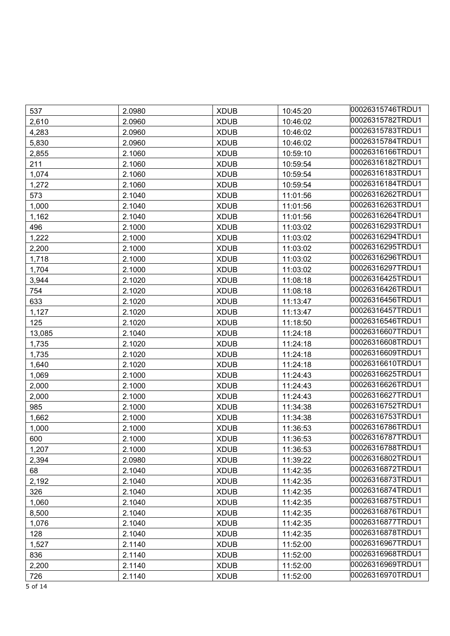| 537     | 2.0980 | <b>XDUB</b> | 10:45:20 | 00026315746TRDU1 |
|---------|--------|-------------|----------|------------------|
| 2,610   | 2.0960 | <b>XDUB</b> | 10:46:02 | 00026315782TRDU1 |
| 4,283   | 2.0960 | <b>XDUB</b> | 10:46:02 | 00026315783TRDU1 |
| 5,830   | 2.0960 | <b>XDUB</b> | 10:46:02 | 00026315784TRDU1 |
| 2,855   | 2.1060 | <b>XDUB</b> | 10:59:10 | 00026316166TRDU1 |
| 211     | 2.1060 | <b>XDUB</b> | 10:59:54 | 00026316182TRDU1 |
| 1,074   | 2.1060 | <b>XDUB</b> | 10:59:54 | 00026316183TRDU1 |
| 1,272   | 2.1060 | <b>XDUB</b> | 10:59:54 | 00026316184TRDU1 |
| 573     | 2.1040 | <b>XDUB</b> | 11:01:56 | 00026316262TRDU1 |
| 1,000   | 2.1040 | <b>XDUB</b> | 11:01:56 | 00026316263TRDU1 |
| 1,162   | 2.1040 | <b>XDUB</b> | 11:01:56 | 00026316264TRDU1 |
| 496     | 2.1000 | <b>XDUB</b> | 11:03:02 | 00026316293TRDU1 |
| 1,222   | 2.1000 | <b>XDUB</b> | 11:03:02 | 00026316294TRDU1 |
| 2,200   | 2.1000 | <b>XDUB</b> | 11:03:02 | 00026316295TRDU1 |
| 1,718   | 2.1000 | <b>XDUB</b> | 11:03:02 | 00026316296TRDU1 |
| 1,704   | 2.1000 | <b>XDUB</b> | 11:03:02 | 00026316297TRDU1 |
| 3,944   | 2.1020 | <b>XDUB</b> | 11:08:18 | 00026316425TRDU1 |
| 754     | 2.1020 | <b>XDUB</b> | 11:08:18 | 00026316426TRDU1 |
| 633     | 2.1020 | <b>XDUB</b> | 11:13:47 | 00026316456TRDU1 |
| 1,127   | 2.1020 | <b>XDUB</b> | 11:13:47 | 00026316457TRDU1 |
| 125     | 2.1020 | <b>XDUB</b> | 11:18:50 | 00026316546TRDU1 |
| 13,085  | 2.1040 | <b>XDUB</b> | 11:24:18 | 00026316607TRDU1 |
| 1,735   | 2.1020 | <b>XDUB</b> | 11:24:18 | 00026316608TRDU1 |
| 1,735   | 2.1020 | <b>XDUB</b> | 11:24:18 | 00026316609TRDU1 |
| 1,640   | 2.1020 | <b>XDUB</b> | 11:24:18 | 00026316610TRDU1 |
| 1,069   | 2.1000 | <b>XDUB</b> | 11:24:43 | 00026316625TRDU1 |
| 2,000   | 2.1000 | <b>XDUB</b> | 11:24:43 | 00026316626TRDU1 |
| 2,000   | 2.1000 | <b>XDUB</b> | 11:24:43 | 00026316627TRDU1 |
| 985     | 2.1000 | <b>XDUB</b> | 11:34:38 | 00026316752TRDU1 |
| 1,662   | 2.1000 | <b>XDUB</b> | 11:34:38 | 00026316753TRDU1 |
| 1,000   | 2.1000 | <b>XDUB</b> | 11:36:53 | 00026316786TRDU1 |
| 600     | 2.1000 | <b>XDUB</b> | 11:36:53 | 00026316787TRDU1 |
| 1,207   | 2.1000 | <b>XDUB</b> | 11:36:53 | 00026316788TRDU1 |
| 2,394   | 2.0980 | <b>XDUB</b> | 11:39:22 | 00026316802TRDU1 |
| 68      | 2.1040 | <b>XDUB</b> | 11:42:35 | 00026316872TRDU1 |
| 2,192   | 2.1040 | <b>XDUB</b> | 11:42:35 | 00026316873TRDU1 |
| 326     | 2.1040 | <b>XDUB</b> | 11:42:35 | 00026316874TRDU1 |
| 1,060   | 2.1040 | <b>XDUB</b> | 11:42:35 | 00026316875TRDU1 |
| 8,500   | 2.1040 | <b>XDUB</b> | 11:42:35 | 00026316876TRDU1 |
| 1,076   | 2.1040 | <b>XDUB</b> | 11:42:35 | 00026316877TRDU1 |
| 128     | 2.1040 | <b>XDUB</b> | 11:42:35 | 00026316878TRDU1 |
| 1,527   | 2.1140 | <b>XDUB</b> | 11:52:00 | 00026316967TRDU1 |
| 836     | 2.1140 | <b>XDUB</b> | 11:52:00 | 00026316968TRDU1 |
| 2,200   | 2.1140 | <b>XDUB</b> | 11:52:00 | 00026316969TRDU1 |
| 726     | 2.1140 | <b>XDUB</b> | 11:52:00 | 00026316970TRDU1 |
| 5 of 14 |        |             |          |                  |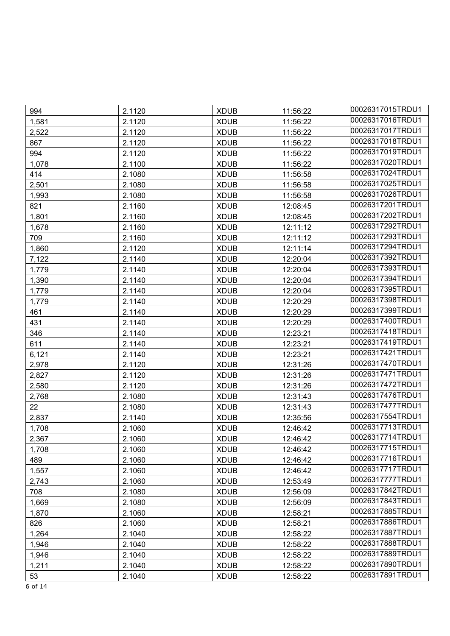| 994   | 2.1120 | <b>XDUB</b> | 11:56:22 | 00026317015TRDU1 |
|-------|--------|-------------|----------|------------------|
| 1,581 | 2.1120 | <b>XDUB</b> | 11:56:22 | 00026317016TRDU1 |
| 2,522 | 2.1120 | <b>XDUB</b> | 11:56:22 | 00026317017TRDU1 |
| 867   | 2.1120 | <b>XDUB</b> | 11:56:22 | 00026317018TRDU1 |
| 994   | 2.1120 | <b>XDUB</b> | 11:56:22 | 00026317019TRDU1 |
| 1,078 | 2.1100 | <b>XDUB</b> | 11:56:22 | 00026317020TRDU1 |
| 414   | 2.1080 | <b>XDUB</b> | 11:56:58 | 00026317024TRDU1 |
| 2,501 | 2.1080 | <b>XDUB</b> | 11:56:58 | 00026317025TRDU1 |
| 1,993 | 2.1080 | <b>XDUB</b> | 11:56:58 | 00026317026TRDU1 |
| 821   | 2.1160 | <b>XDUB</b> | 12:08:45 | 00026317201TRDU1 |
| 1,801 | 2.1160 | <b>XDUB</b> | 12:08:45 | 00026317202TRDU1 |
| 1,678 | 2.1160 | <b>XDUB</b> | 12:11:12 | 00026317292TRDU1 |
| 709   | 2.1160 | <b>XDUB</b> | 12:11:12 | 00026317293TRDU1 |
| 1,860 | 2.1120 | <b>XDUB</b> | 12:11:14 | 00026317294TRDU1 |
| 7,122 | 2.1140 | <b>XDUB</b> | 12:20:04 | 00026317392TRDU1 |
| 1,779 | 2.1140 | <b>XDUB</b> | 12:20:04 | 00026317393TRDU1 |
| 1,390 | 2.1140 | <b>XDUB</b> | 12:20:04 | 00026317394TRDU1 |
| 1,779 | 2.1140 | <b>XDUB</b> | 12:20:04 | 00026317395TRDU1 |
| 1,779 | 2.1140 | <b>XDUB</b> | 12:20:29 | 00026317398TRDU1 |
| 461   | 2.1140 | <b>XDUB</b> | 12:20:29 | 00026317399TRDU1 |
| 431   | 2.1140 | <b>XDUB</b> | 12:20:29 | 00026317400TRDU1 |
| 346   | 2.1140 | <b>XDUB</b> | 12:23:21 | 00026317418TRDU1 |
| 611   | 2.1140 | <b>XDUB</b> | 12:23:21 | 00026317419TRDU1 |
| 6,121 | 2.1140 | <b>XDUB</b> | 12:23:21 | 00026317421TRDU1 |
| 2,978 | 2.1120 | <b>XDUB</b> | 12:31:26 | 00026317470TRDU1 |
| 2,827 | 2.1120 | <b>XDUB</b> | 12:31:26 | 00026317471TRDU1 |
| 2,580 | 2.1120 | <b>XDUB</b> | 12:31:26 | 00026317472TRDU1 |
| 2,768 | 2.1080 | <b>XDUB</b> | 12:31:43 | 00026317476TRDU1 |
| 22    | 2.1080 | <b>XDUB</b> | 12:31:43 | 00026317477TRDU1 |
| 2,837 | 2.1140 | <b>XDUB</b> | 12:35:56 | 00026317554TRDU1 |
| 1,708 | 2.1060 | <b>XDUB</b> | 12:46:42 | 00026317713TRDU1 |
| 2,367 | 2.1060 | <b>XDUB</b> | 12:46:42 | 00026317714TRDU1 |
| 1,708 | 2.1060 | <b>XDUB</b> | 12:46:42 | 00026317715TRDU1 |
| 489   | 2.1060 | <b>XDUB</b> | 12:46:42 | 00026317716TRDU1 |
| 1,557 | 2.1060 | <b>XDUB</b> | 12:46:42 | 00026317717TRDU1 |
| 2,743 | 2.1060 | <b>XDUB</b> | 12:53:49 | 00026317777TRDU1 |
| 708   | 2.1080 | <b>XDUB</b> | 12:56:09 | 00026317842TRDU1 |
| 1,669 | 2.1080 | <b>XDUB</b> | 12:56:09 | 00026317843TRDU1 |
| 1,870 | 2.1060 | <b>XDUB</b> | 12:58:21 | 00026317885TRDU1 |
| 826   | 2.1060 | <b>XDUB</b> | 12:58:21 | 00026317886TRDU1 |
| 1,264 | 2.1040 | <b>XDUB</b> | 12:58:22 | 00026317887TRDU1 |
| 1,946 | 2.1040 | <b>XDUB</b> | 12:58:22 | 00026317888TRDU1 |
| 1,946 | 2.1040 | <b>XDUB</b> | 12:58:22 | 00026317889TRDU1 |
| 1,211 | 2.1040 | <b>XDUB</b> | 12:58:22 | 00026317890TRDU1 |
| 53    | 2.1040 | <b>XDUB</b> | 12:58:22 | 00026317891TRDU1 |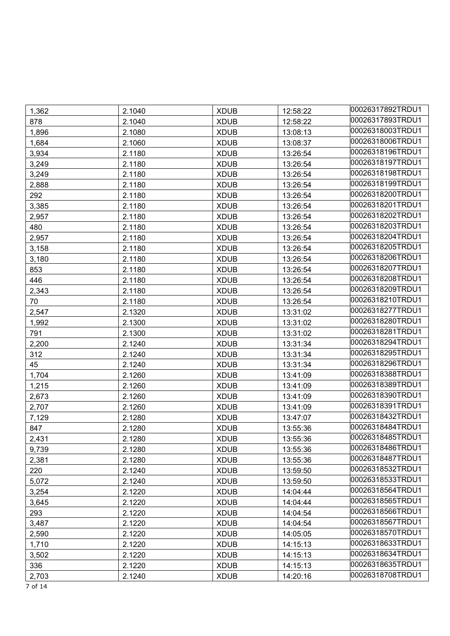| 1,362 | 2.1040 | <b>XDUB</b> | 12:58:22 | 00026317892TRDU1 |
|-------|--------|-------------|----------|------------------|
| 878   | 2.1040 | <b>XDUB</b> | 12:58:22 | 00026317893TRDU1 |
| 1,896 | 2.1080 | <b>XDUB</b> | 13:08:13 | 00026318003TRDU1 |
| 1,684 | 2.1060 | <b>XDUB</b> | 13:08:37 | 00026318006TRDU1 |
| 3,934 | 2.1180 | <b>XDUB</b> | 13:26:54 | 00026318196TRDU1 |
| 3,249 | 2.1180 | <b>XDUB</b> | 13:26:54 | 00026318197TRDU1 |
| 3,249 | 2.1180 | <b>XDUB</b> | 13:26:54 | 00026318198TRDU1 |
| 2,888 | 2.1180 | <b>XDUB</b> | 13:26:54 | 00026318199TRDU1 |
| 292   | 2.1180 | <b>XDUB</b> | 13:26:54 | 00026318200TRDU1 |
| 3,385 | 2.1180 | <b>XDUB</b> | 13:26:54 | 00026318201TRDU1 |
| 2,957 | 2.1180 | <b>XDUB</b> | 13:26:54 | 00026318202TRDU1 |
| 480   | 2.1180 | <b>XDUB</b> | 13:26:54 | 00026318203TRDU1 |
| 2,957 | 2.1180 | <b>XDUB</b> | 13:26:54 | 00026318204TRDU1 |
| 3,158 | 2.1180 | <b>XDUB</b> | 13:26:54 | 00026318205TRDU1 |
| 3,180 | 2.1180 | <b>XDUB</b> | 13:26:54 | 00026318206TRDU1 |
| 853   | 2.1180 | <b>XDUB</b> | 13:26:54 | 00026318207TRDU1 |
| 446   | 2.1180 | <b>XDUB</b> | 13:26:54 | 00026318208TRDU1 |
| 2,343 | 2.1180 | <b>XDUB</b> | 13:26:54 | 00026318209TRDU1 |
| 70    | 2.1180 | <b>XDUB</b> | 13:26:54 | 00026318210TRDU1 |
| 2,547 | 2.1320 | <b>XDUB</b> | 13:31:02 | 00026318277TRDU1 |
| 1,992 | 2.1300 | <b>XDUB</b> | 13:31:02 | 00026318280TRDU1 |
| 791   | 2.1300 | <b>XDUB</b> | 13:31:02 | 00026318281TRDU1 |
| 2,200 | 2.1240 | <b>XDUB</b> | 13:31:34 | 00026318294TRDU1 |
| 312   | 2.1240 | <b>XDUB</b> | 13:31:34 | 00026318295TRDU1 |
| 45    | 2.1240 | <b>XDUB</b> | 13:31:34 | 00026318296TRDU1 |
| 1,704 | 2.1260 | <b>XDUB</b> | 13:41:09 | 00026318388TRDU1 |
| 1,215 | 2.1260 | <b>XDUB</b> | 13:41:09 | 00026318389TRDU1 |
| 2,673 | 2.1260 | <b>XDUB</b> | 13:41:09 | 00026318390TRDU1 |
| 2,707 | 2.1260 | <b>XDUB</b> | 13:41:09 | 00026318391TRDU1 |
| 7,129 | 2.1280 | <b>XDUB</b> | 13:47:07 | 00026318432TRDU1 |
| 847   | 2.1280 | <b>XDUB</b> | 13:55:36 | 00026318484TRDU1 |
| 2,431 | 2.1280 | <b>XDUB</b> | 13:55:36 | 00026318485TRDU1 |
| 9,739 | 2.1280 | <b>XDUB</b> | 13:55:36 | 00026318486TRDU1 |
| 2,381 | 2.1280 | <b>XDUB</b> | 13:55:36 | 00026318487TRDU1 |
| 220   | 2.1240 | <b>XDUB</b> | 13:59:50 | 00026318532TRDU1 |
| 5,072 | 2.1240 | <b>XDUB</b> | 13:59:50 | 00026318533TRDU1 |
| 3,254 | 2.1220 | <b>XDUB</b> | 14:04:44 | 00026318564TRDU1 |
| 3,645 | 2.1220 | <b>XDUB</b> | 14:04:44 | 00026318565TRDU1 |
| 293   | 2.1220 | <b>XDUB</b> | 14:04:54 | 00026318566TRDU1 |
| 3,487 | 2.1220 | <b>XDUB</b> | 14:04:54 | 00026318567TRDU1 |
| 2,590 | 2.1220 | <b>XDUB</b> | 14:05:05 | 00026318570TRDU1 |
| 1,710 | 2.1220 | <b>XDUB</b> | 14:15:13 | 00026318633TRDU1 |
| 3,502 | 2.1220 | <b>XDUB</b> | 14:15:13 | 00026318634TRDU1 |
| 336   | 2.1220 | <b>XDUB</b> | 14:15:13 | 00026318635TRDU1 |
| 2,703 | 2.1240 | <b>XDUB</b> | 14:20:16 | 00026318708TRDU1 |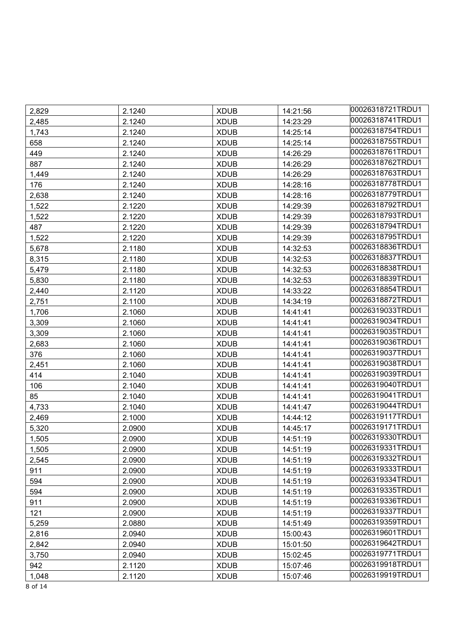| 2,829 | 2.1240 | <b>XDUB</b> | 14:21:56 | 00026318721TRDU1 |
|-------|--------|-------------|----------|------------------|
| 2,485 | 2.1240 | <b>XDUB</b> | 14:23:29 | 00026318741TRDU1 |
| 1,743 | 2.1240 | <b>XDUB</b> | 14:25:14 | 00026318754TRDU1 |
| 658   | 2.1240 | <b>XDUB</b> | 14:25:14 | 00026318755TRDU1 |
| 449   | 2.1240 | <b>XDUB</b> | 14:26:29 | 00026318761TRDU1 |
| 887   | 2.1240 | <b>XDUB</b> | 14:26:29 | 00026318762TRDU1 |
| 1,449 | 2.1240 | <b>XDUB</b> | 14:26:29 | 00026318763TRDU1 |
| 176   | 2.1240 | <b>XDUB</b> | 14:28:16 | 00026318778TRDU1 |
| 2,638 | 2.1240 | <b>XDUB</b> | 14:28:16 | 00026318779TRDU1 |
| 1,522 | 2.1220 | <b>XDUB</b> | 14:29:39 | 00026318792TRDU1 |
| 1,522 | 2.1220 | <b>XDUB</b> | 14:29:39 | 00026318793TRDU1 |
| 487   | 2.1220 | <b>XDUB</b> | 14:29:39 | 00026318794TRDU1 |
| 1,522 | 2.1220 | <b>XDUB</b> | 14:29:39 | 00026318795TRDU1 |
| 5,678 | 2.1180 | <b>XDUB</b> | 14:32:53 | 00026318836TRDU1 |
| 8,315 | 2.1180 | <b>XDUB</b> | 14:32:53 | 00026318837TRDU1 |
| 5,479 | 2.1180 | <b>XDUB</b> | 14:32:53 | 00026318838TRDU1 |
| 5,830 | 2.1180 | <b>XDUB</b> | 14:32:53 | 00026318839TRDU1 |
| 2,440 | 2.1120 | <b>XDUB</b> | 14:33:22 | 00026318854TRDU1 |
| 2,751 | 2.1100 | <b>XDUB</b> | 14:34:19 | 00026318872TRDU1 |
| 1,706 | 2.1060 | <b>XDUB</b> | 14:41:41 | 00026319033TRDU1 |
| 3,309 | 2.1060 | <b>XDUB</b> | 14:41:41 | 00026319034TRDU1 |
| 3,309 | 2.1060 | <b>XDUB</b> | 14:41:41 | 00026319035TRDU1 |
| 2,683 | 2.1060 | <b>XDUB</b> | 14:41:41 | 00026319036TRDU1 |
| 376   | 2.1060 | <b>XDUB</b> | 14:41:41 | 00026319037TRDU1 |
| 2,451 | 2.1060 | <b>XDUB</b> | 14:41:41 | 00026319038TRDU1 |
| 414   | 2.1040 | <b>XDUB</b> | 14:41:41 | 00026319039TRDU1 |
| 106   | 2.1040 | <b>XDUB</b> | 14:41:41 | 00026319040TRDU1 |
| 85    | 2.1040 | <b>XDUB</b> | 14:41:41 | 00026319041TRDU1 |
| 4,733 | 2.1040 | <b>XDUB</b> | 14:41:47 | 00026319044TRDU1 |
| 2,469 | 2.1000 | <b>XDUB</b> | 14:44:12 | 00026319117TRDU1 |
| 5,320 | 2.0900 | <b>XDUB</b> | 14:45:17 | 00026319171TRDU1 |
| 1,505 | 2.0900 | <b>XDUB</b> | 14:51:19 | 00026319330TRDU1 |
| 1,505 | 2.0900 | <b>XDUB</b> | 14:51:19 | 00026319331TRDU1 |
| 2,545 | 2.0900 | <b>XDUB</b> | 14:51:19 | 00026319332TRDU1 |
| 911   | 2.0900 | <b>XDUB</b> | 14:51:19 | 00026319333TRDU1 |
| 594   | 2.0900 | <b>XDUB</b> | 14:51:19 | 00026319334TRDU1 |
| 594   | 2.0900 | <b>XDUB</b> | 14:51:19 | 00026319335TRDU1 |
| 911   | 2.0900 | <b>XDUB</b> | 14:51:19 | 00026319336TRDU1 |
| 121   | 2.0900 | <b>XDUB</b> | 14:51:19 | 00026319337TRDU1 |
| 5,259 | 2.0880 | <b>XDUB</b> | 14:51:49 | 00026319359TRDU1 |
| 2,816 | 2.0940 | <b>XDUB</b> | 15:00:43 | 00026319601TRDU1 |
| 2,842 | 2.0940 | <b>XDUB</b> | 15:01:50 | 00026319642TRDU1 |
| 3,750 | 2.0940 | <b>XDUB</b> | 15:02:45 | 00026319771TRDU1 |
| 942   | 2.1120 | <b>XDUB</b> | 15:07:46 | 00026319918TRDU1 |
| 1,048 | 2.1120 | <b>XDUB</b> | 15:07:46 | 00026319919TRDU1 |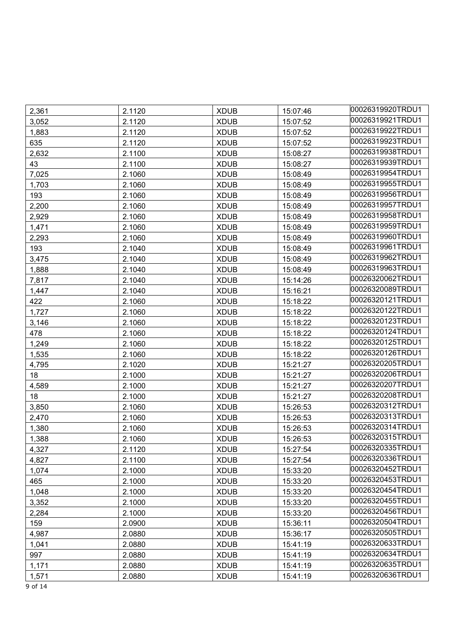| 2,361 | 2.1120 | <b>XDUB</b> | 15:07:46 | 00026319920TRDU1 |
|-------|--------|-------------|----------|------------------|
| 3,052 | 2.1120 | <b>XDUB</b> | 15:07:52 | 00026319921TRDU1 |
| 1,883 | 2.1120 | <b>XDUB</b> | 15:07:52 | 00026319922TRDU1 |
| 635   | 2.1120 | <b>XDUB</b> | 15:07:52 | 00026319923TRDU1 |
| 2,632 | 2.1100 | <b>XDUB</b> | 15:08:27 | 00026319938TRDU1 |
| 43    | 2.1100 | <b>XDUB</b> | 15:08:27 | 00026319939TRDU1 |
| 7,025 | 2.1060 | <b>XDUB</b> | 15:08:49 | 00026319954TRDU1 |
| 1,703 | 2.1060 | <b>XDUB</b> | 15:08:49 | 00026319955TRDU1 |
| 193   | 2.1060 | <b>XDUB</b> | 15:08:49 | 00026319956TRDU1 |
| 2,200 | 2.1060 | <b>XDUB</b> | 15:08:49 | 00026319957TRDU1 |
| 2,929 | 2.1060 | <b>XDUB</b> | 15:08:49 | 00026319958TRDU1 |
| 1,471 | 2.1060 | <b>XDUB</b> | 15:08:49 | 00026319959TRDU1 |
| 2,293 | 2.1060 | <b>XDUB</b> | 15:08:49 | 00026319960TRDU1 |
| 193   | 2.1040 | <b>XDUB</b> | 15:08:49 | 00026319961TRDU1 |
| 3,475 | 2.1040 | <b>XDUB</b> | 15:08:49 | 00026319962TRDU1 |
| 1,888 | 2.1040 | <b>XDUB</b> | 15:08:49 | 00026319963TRDU1 |
| 7,817 | 2.1040 | <b>XDUB</b> | 15:14:26 | 00026320062TRDU1 |
| 1,447 | 2.1040 | <b>XDUB</b> | 15:16:21 | 00026320089TRDU1 |
| 422   | 2.1060 | <b>XDUB</b> | 15:18:22 | 00026320121TRDU1 |
| 1,727 | 2.1060 | <b>XDUB</b> | 15:18:22 | 00026320122TRDU1 |
| 3,146 | 2.1060 | <b>XDUB</b> | 15:18:22 | 00026320123TRDU1 |
| 478   | 2.1060 | <b>XDUB</b> | 15:18:22 | 00026320124TRDU1 |
| 1,249 | 2.1060 | <b>XDUB</b> | 15:18:22 | 00026320125TRDU1 |
| 1,535 | 2.1060 | <b>XDUB</b> | 15:18:22 | 00026320126TRDU1 |
| 4,795 | 2.1020 | <b>XDUB</b> | 15:21:27 | 00026320205TRDU1 |
| 18    | 2.1000 | <b>XDUB</b> | 15:21:27 | 00026320206TRDU1 |
| 4,589 | 2.1000 | <b>XDUB</b> | 15:21:27 | 00026320207TRDU1 |
| 18    | 2.1000 | <b>XDUB</b> | 15:21:27 | 00026320208TRDU1 |
| 3,850 | 2.1060 | <b>XDUB</b> | 15:26:53 | 00026320312TRDU1 |
| 2,470 | 2.1060 | <b>XDUB</b> | 15:26:53 | 00026320313TRDU1 |
| 1,380 | 2.1060 | <b>XDUB</b> | 15:26:53 | 00026320314TRDU1 |
| 1,388 | 2.1060 | <b>XDUB</b> | 15:26:53 | 00026320315TRDU1 |
| 4,327 | 2.1120 | <b>XDUB</b> | 15:27:54 | 00026320335TRDU1 |
| 4,827 | 2.1100 | <b>XDUB</b> | 15:27:54 | 00026320336TRDU1 |
| 1,074 | 2.1000 | <b>XDUB</b> | 15:33:20 | 00026320452TRDU1 |
| 465   | 2.1000 | <b>XDUB</b> | 15:33:20 | 00026320453TRDU1 |
| 1,048 | 2.1000 | <b>XDUB</b> | 15:33:20 | 00026320454TRDU1 |
| 3,352 | 2.1000 | <b>XDUB</b> | 15:33:20 | 00026320455TRDU1 |
| 2,284 | 2.1000 | <b>XDUB</b> | 15:33:20 | 00026320456TRDU1 |
| 159   | 2.0900 | <b>XDUB</b> | 15:36:11 | 00026320504TRDU1 |
| 4,987 | 2.0880 | <b>XDUB</b> | 15:36:17 | 00026320505TRDU1 |
| 1,041 | 2.0880 | <b>XDUB</b> | 15:41:19 | 00026320633TRDU1 |
| 997   | 2.0880 | <b>XDUB</b> | 15:41:19 | 00026320634TRDU1 |
| 1,171 | 2.0880 | <b>XDUB</b> | 15:41:19 | 00026320635TRDU1 |
| 1,571 | 2.0880 | <b>XDUB</b> | 15:41:19 | 00026320636TRDU1 |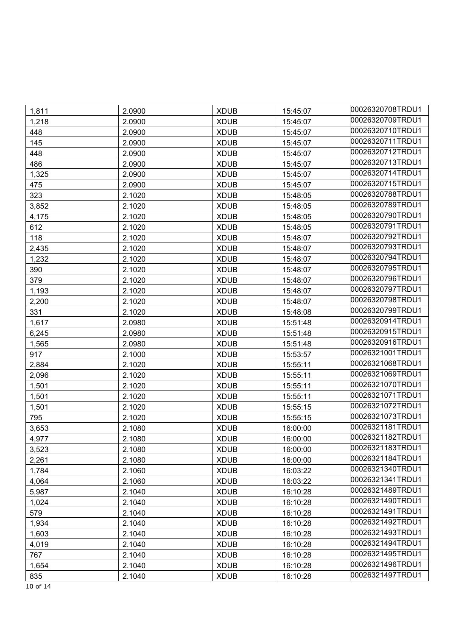| 1,811 | 2.0900 | <b>XDUB</b> | 15:45:07 | 00026320708TRDU1 |
|-------|--------|-------------|----------|------------------|
| 1,218 | 2.0900 | <b>XDUB</b> | 15:45:07 | 00026320709TRDU1 |
| 448   | 2.0900 | <b>XDUB</b> | 15:45:07 | 00026320710TRDU1 |
| 145   | 2.0900 | <b>XDUB</b> | 15:45:07 | 00026320711TRDU1 |
| 448   | 2.0900 | <b>XDUB</b> | 15:45:07 | 00026320712TRDU1 |
| 486   | 2.0900 | <b>XDUB</b> | 15:45:07 | 00026320713TRDU1 |
| 1,325 | 2.0900 | <b>XDUB</b> | 15:45:07 | 00026320714TRDU1 |
| 475   | 2.0900 | <b>XDUB</b> | 15:45:07 | 00026320715TRDU1 |
| 323   | 2.1020 | <b>XDUB</b> | 15:48:05 | 00026320788TRDU1 |
| 3,852 | 2.1020 | <b>XDUB</b> | 15:48:05 | 00026320789TRDU1 |
| 4,175 | 2.1020 | <b>XDUB</b> | 15:48:05 | 00026320790TRDU1 |
| 612   | 2.1020 | <b>XDUB</b> | 15:48:05 | 00026320791TRDU1 |
| 118   | 2.1020 | <b>XDUB</b> | 15:48:07 | 00026320792TRDU1 |
| 2,435 | 2.1020 | <b>XDUB</b> | 15:48:07 | 00026320793TRDU1 |
| 1,232 | 2.1020 | <b>XDUB</b> | 15:48:07 | 00026320794TRDU1 |
| 390   | 2.1020 | <b>XDUB</b> | 15:48:07 | 00026320795TRDU1 |
| 379   | 2.1020 | <b>XDUB</b> | 15:48:07 | 00026320796TRDU1 |
| 1,193 | 2.1020 | <b>XDUB</b> | 15:48:07 | 00026320797TRDU1 |
| 2,200 | 2.1020 | <b>XDUB</b> | 15:48:07 | 00026320798TRDU1 |
| 331   | 2.1020 | <b>XDUB</b> | 15:48:08 | 00026320799TRDU1 |
| 1,617 | 2.0980 | <b>XDUB</b> | 15:51:48 | 00026320914TRDU1 |
| 6,245 | 2.0980 | <b>XDUB</b> | 15:51:48 | 00026320915TRDU1 |
| 1,565 | 2.0980 | <b>XDUB</b> | 15:51:48 | 00026320916TRDU1 |
| 917   | 2.1000 | <b>XDUB</b> | 15:53:57 | 00026321001TRDU1 |
| 2,884 | 2.1020 | <b>XDUB</b> | 15:55:11 | 00026321068TRDU1 |
| 2,096 | 2.1020 | <b>XDUB</b> | 15:55:11 | 00026321069TRDU1 |
| 1,501 | 2.1020 | <b>XDUB</b> | 15:55:11 | 00026321070TRDU1 |
| 1,501 | 2.1020 | <b>XDUB</b> | 15:55:11 | 00026321071TRDU1 |
| 1,501 | 2.1020 | <b>XDUB</b> | 15:55:15 | 00026321072TRDU1 |
| 795   | 2.1020 | <b>XDUB</b> | 15:55:15 | 00026321073TRDU1 |
| 3,653 | 2.1080 | <b>XDUB</b> | 16:00:00 | 00026321181TRDU1 |
| 4,977 | 2.1080 | <b>XDUB</b> | 16:00:00 | 00026321182TRDU1 |
| 3,523 | 2.1080 | <b>XDUB</b> | 16:00:00 | 00026321183TRDU1 |
| 2,261 | 2.1080 | <b>XDUB</b> | 16:00:00 | 00026321184TRDU1 |
| 1,784 | 2.1060 | <b>XDUB</b> | 16:03:22 | 00026321340TRDU1 |
| 4,064 | 2.1060 | <b>XDUB</b> | 16:03:22 | 00026321341TRDU1 |
| 5,987 | 2.1040 | <b>XDUB</b> | 16:10:28 | 00026321489TRDU1 |
| 1,024 | 2.1040 | <b>XDUB</b> | 16:10:28 | 00026321490TRDU1 |
| 579   | 2.1040 | <b>XDUB</b> | 16:10:28 | 00026321491TRDU1 |
| 1,934 | 2.1040 | <b>XDUB</b> | 16:10:28 | 00026321492TRDU1 |
| 1,603 | 2.1040 | <b>XDUB</b> | 16:10:28 | 00026321493TRDU1 |
| 4,019 | 2.1040 | <b>XDUB</b> | 16:10:28 | 00026321494TRDU1 |
| 767   | 2.1040 | <b>XDUB</b> | 16:10:28 | 00026321495TRDU1 |
| 1,654 | 2.1040 | <b>XDUB</b> | 16:10:28 | 00026321496TRDU1 |
| 835   | 2.1040 | <b>XDUB</b> | 16:10:28 | 00026321497TRDU1 |